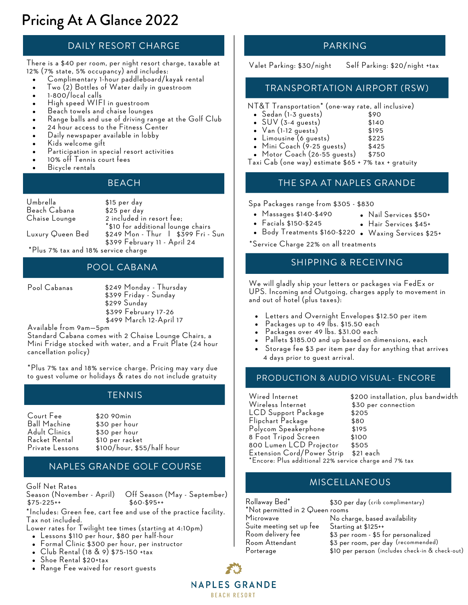# Pricing At A Glance 2022

# DAILY RESORT CHARGE

There is a \$40 per room, per night resort charge, taxable at 12% (7% state, 5% occupancy) and includes:

- Complimentary 1-hour paddleboard/kayak rental
- Two (2) Bottles of Water daily in guestroom
- 1-800/local calls
- High speed WIFI in guestroom
- Beach towels and chaise lounges
- Range balls and use of driving range at the Golf Club
- 24 hour access to the Fitness Center
- Daily newspaper available in lobby
- Kids welcome gift
- Participation in special resort activities
- 10% off Tennis court fees
- Bicycle rentals

Umbrella Beach Cabana Chaise Lounge

\$15 per day \$25 per day 2 included in resort fee; \*\$10 for additional lounge chairs \$249 Mon - Thur I \$399 Fri - Sun \$399 February 11 - April 24

Luxury Queen Bed

\*Plus 7% tax and 18% service charge

# POOL CABANA

Pool Cabanas

\$399 February 17-26 \$499 March 12-April 17 \$249 Monday - Thursday \$399 Friday - Sunday \$299 Sunday

Available from 9am—5pm

Standard Cabana comes with 2 Chaise Lounge Chairs, a Mini Fridge stocked with water, and a Fruit Plate (24 hour cancellation policy)

\*Plus 7% tax and 18% service charge. Pricing may vary due to guest volume or holidays & rates do not include gratuity

# **TENNIS**

Court Fee Ball Machine Adult Clinics Racket Rental Private Lessons \$20 90min \$30 per hour \$30 per hour \$10 per racket \$100/hour, \$55/half hour

## NAPLES GRANDE GOLF COURSE

Golf Net Rates

 $$75-225++$ 

Off Season (May - September)<br>\$60-\$95++

\*Includes: Green fee, cart fee and use of the practice facility. Tax not included.

- Lower rates for Twilight tee times (starting at 4:10pm)
	- Lessons \$110 per hour, \$80 per half-hour
	- Formal Clinic \$300 per hour, per instructor
	- Club Rental (18 & 9) \$75-150 +tax
	- Shoe Rental \$20+tax
	- Range Fee waived for resort guests

## PARKING

Valet Parking: \$30/night Self Parking: \$20/night +tax

#### TRANSPORTATION AIRPORT (RSW)

NT&T Transportation\* (one-way rate, all inclusive) \$90

- Sedan (1-3 guests)
- SUV (3-4 guests) \$140
- Van (1-12 guests) \$195
- Limousine (6 guests) \$225
- Mini Coach (9-25 guests)  $\bullet$ \$425
- Motor Coach (26-55 guests) \$750
- Taxi Cab (one way) estimate \$65 + 7% tax + gratuity

#### BEACH THE SPA AT NAPLES GRANDE

Spa Packages range from \$305 - \$830

- Massages \$140-\$490 Nail Services \$50+
- Facials \$150-\$245
	- Body Treatments \$160-\$220 Waxing Services \$25+ Hair Services \$45+

\*Service Charge 22% on all treatments

# SHIPPING & RECEIVING

We will gladly ship your letters or packages via FedEx or UPS. Incoming and Outgoing, charges apply to movement in and out of hotel (plus taxes):

- Letters and Overnight Envelopes \$12.50 per item
- Packages up to 49 lbs. \$15.50 each
- Packages over 49 lbs. \$31.00 each
- Pallets \$185.00 and up based on dimensions, each
- Storage fee \$3 per item per day for anything that arrives 4 days prior to guest arrival.

# PRODUCTION & AUDIO VISUAL- ENCORE

Wireless Internet \$30 per connections \$30 per connections \$30 per connections \$30 per connections \$30 per conne<br>LCD Support Package \$205 per connections \$205 per connections \$205 per connections \$30 per connections \$30 per LCD Support Package Flipchart Package \$80 Polycom Speakerphone \$195 8 Foot Tripod Screen \$100 800 Lumen LCD Projector \$505 Extension Cord/Power Strip \$21 each

Wired Internet \$200 installation, plus bandwidth

\*Encore: Plus additional 22% service charge and 7% tax

# MISCELLANEOUS

Rollaway Bed\* \*Not permitted in 2 Queen rooms Microwave Suite meeting set up fee Room delivery fee Room Attendant Porterage \$30 per day (crib complimentary) No charge, based availability Starting at \$125++ \$3 per room - \$5 for personalized \$3 per room, per day (recommended)\$10 per person (includes check-in & check-out)